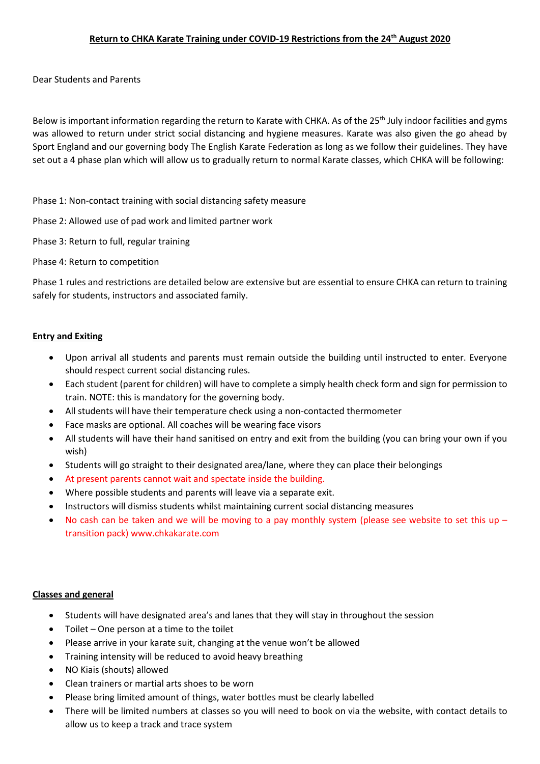Dear Students and Parents

Below is important information regarding the return to Karate with CHKA. As of the 25<sup>th</sup> July indoor facilities and gyms was allowed to return under strict social distancing and hygiene measures. Karate was also given the go ahead by Sport England and our governing body The English Karate Federation as long as we follow their guidelines. They have set out a 4 phase plan which will allow us to gradually return to normal Karate classes, which CHKA will be following:

Phase 1: Non-contact training with social distancing safety measure

Phase 2: Allowed use of pad work and limited partner work

Phase 3: Return to full, regular training

Phase 4: Return to competition

Phase 1 rules and restrictions are detailed below are extensive but are essential to ensure CHKA can return to training safely for students, instructors and associated family.

## **Entry and Exiting**

- Upon arrival all students and parents must remain outside the building until instructed to enter. Everyone should respect current social distancing rules.
- Each student (parent for children) will have to complete a simply health check form and sign for permission to train. NOTE: this is mandatory for the governing body.
- All students will have their temperature check using a non-contacted thermometer
- Face masks are optional. All coaches will be wearing face visors
- All students will have their hand sanitised on entry and exit from the building (you can bring your own if you wish)
- Students will go straight to their designated area/lane, where they can place their belongings
- At present parents cannot wait and spectate inside the building.
- Where possible students and parents will leave via a separate exit.
- Instructors will dismiss students whilst maintaining current social distancing measures
- No cash can be taken and we will be moving to a pay monthly system (please see website to set this up  $$ transition pack) www.chkakarate.com

## **Classes and general**

- Students will have designated area's and lanes that they will stay in throughout the session
- Toilet One person at a time to the toilet
- Please arrive in your karate suit, changing at the venue won't be allowed
- Training intensity will be reduced to avoid heavy breathing
- NO Kiais (shouts) allowed
- Clean trainers or martial arts shoes to be worn
- Please bring limited amount of things, water bottles must be clearly labelled
- There will be limited numbers at classes so you will need to book on via the website, with contact details to allow us to keep a track and trace system